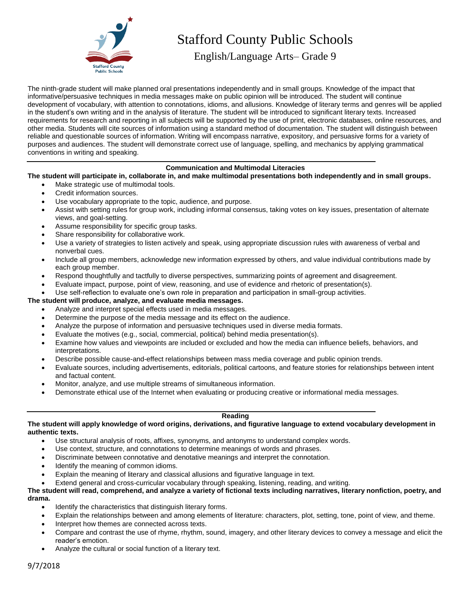

# Stafford County Public Schools

English/Language Arts– Grade 9

The ninth-grade student will make planned oral presentations independently and in small groups. Knowledge of the impact that informative/persuasive techniques in media messages make on public opinion will be introduced. The student will continue development of vocabulary, with attention to connotations, idioms, and allusions. Knowledge of literary terms and genres will be applied in the student's own writing and in the analysis of literature. The student will be introduced to significant literary texts. Increased requirements for research and reporting in all subjects will be supported by the use of print, electronic databases, online resources, and other media. Students will cite sources of information using a standard method of documentation. The student will distinguish between reliable and questionable sources of information. Writing will encompass narrative, expository, and persuasive forms for a variety of purposes and audiences. The student will demonstrate correct use of language, spelling, and mechanics by applying grammatical conventions in writing and speaking.

## **Communication and Multimodal Literacies**

**The student will participate in, collaborate in, and make multimodal presentations both independently and in small groups.**

- Make strategic use of multimodal tools.
- Credit information sources.
- Use vocabulary appropriate to the topic, audience, and purpose.
- Assist with setting rules for group work, including informal consensus, taking votes on key issues, presentation of alternate views, and goal-setting.
- Assume responsibility for specific group tasks.
- Share responsibility for collaborative work.
- Use a variety of strategies to listen actively and speak, using appropriate discussion rules with awareness of verbal and nonverbal cues.
- Include all group members, acknowledge new information expressed by others, and value individual contributions made by each group member.
- Respond thoughtfully and tactfully to diverse perspectives, summarizing points of agreement and disagreement.
- Evaluate impact, purpose, point of view, reasoning, and use of evidence and rhetoric of presentation(s).
- Use self-reflection to evaluate one's own role in preparation and participation in small-group activities.

## **The student will produce, analyze, and evaluate media messages.**

- Analyze and interpret special effects used in media messages.
- Determine the purpose of the media message and its effect on the audience.
- Analyze the purpose of information and persuasive techniques used in diverse media formats.
- Evaluate the motives (e.g., social, commercial, political) behind media presentation(s).
- Examine how values and viewpoints are included or excluded and how the media can influence beliefs, behaviors, and interpretations.
- Describe possible cause-and-effect relationships between mass media coverage and public opinion trends.
- Evaluate sources, including advertisements, editorials, political cartoons, and feature stories for relationships between intent and factual content.
- Monitor, analyze, and use multiple streams of simultaneous information.
- Demonstrate ethical use of the Internet when evaluating or producing creative or informational media messages.

## **Reading**

**The student will apply knowledge of word origins, derivations, and figurative language to extend vocabulary development in authentic texts.**

- Use structural analysis of roots, affixes, synonyms, and antonyms to understand complex words.
- Use context, structure, and connotations to determine meanings of words and phrases.
- Discriminate between connotative and denotative meanings and interpret the connotation.
- Identify the meaning of common idioms.
- Explain the meaning of literary and classical allusions and figurative language in text.
- Extend general and cross-curricular vocabulary through speaking, listening, reading, and writing.

#### **The student will read, comprehend, and analyze a variety of fictional texts including narratives, literary nonfiction, poetry, and drama.**

- Identify the characteristics that distinguish literary forms.
- Explain the relationships between and among elements of literature: characters, plot, setting, tone, point of view, and theme.
- Interpret how themes are connected across texts.
- Compare and contrast the use of rhyme, rhythm, sound, imagery, and other literary devices to convey a message and elicit the reader's emotion.
- Analyze the cultural or social function of a literary text.